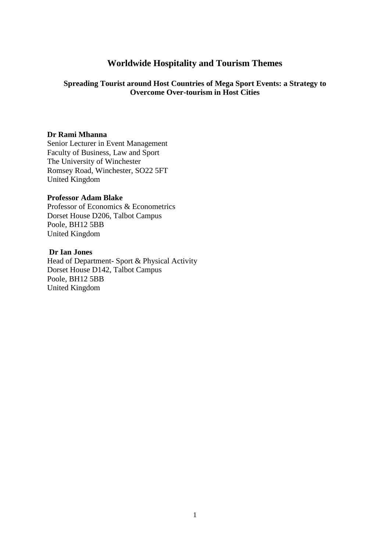# **Worldwide Hospitality and Tourism Themes**

## **Spreading Tourist around Host Countries of Mega Sport Events: a Strategy to Overcome Over-tourism in Host Cities**

## **Dr Rami Mhanna**

Senior Lecturer in Event Management Faculty of Business, Law and Sport The University of Winchester Romsey Road, Winchester, SO22 5FT United Kingdom

## **Professor Adam Blake**

Professor of Economics & Econometrics Dorset House D206, Talbot Campus Poole, BH12 5BB United Kingdom

## **Dr Ian Jones**

Head of Department- Sport & Physical Activity Dorset House D142, Talbot Campus Poole, BH12 5BB United Kingdom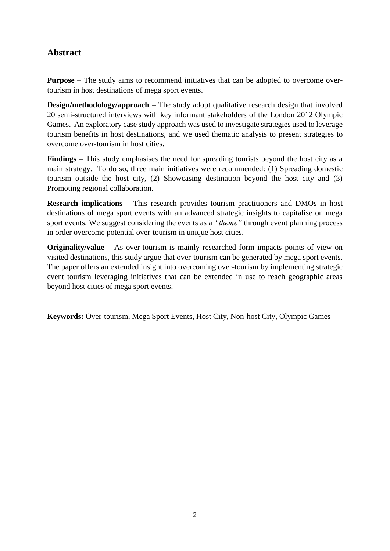# **Abstract**

**Purpose** – The study aims to recommend initiatives that can be adopted to overcome overtourism in host destinations of mega sport events.

**Design/methodology/approach** – The study adopt qualitative research design that involved 20 semi-structured interviews with key informant stakeholders of the London 2012 Olympic Games. An exploratory case study approach was used to investigate strategies used to leverage tourism benefits in host destinations, and we used thematic analysis to present strategies to overcome over-tourism in host cities.

**Findings –** This study emphasises the need for spreading tourists beyond the host city as a main strategy. To do so, three main initiatives were recommended: (1) Spreading domestic tourism outside the host city, (2) Showcasing destination beyond the host city and (3) Promoting regional collaboration.

**Research implications –** This research provides tourism practitioners and DMOs in host destinations of mega sport events with an advanced strategic insights to capitalise on mega sport events. We suggest considering the events as a *"theme"* through event planning process in order overcome potential over-tourism in unique host cities.

**Originality/value –** As over-tourism is mainly researched form impacts points of view on visited destinations, this study argue that over-tourism can be generated by mega sport events. The paper offers an extended insight into overcoming over-tourism by implementing strategic event tourism leveraging initiatives that can be extended in use to reach geographic areas beyond host cities of mega sport events.

**Keywords:** Over-tourism, Mega Sport Events, Host City, Non-host City, Olympic Games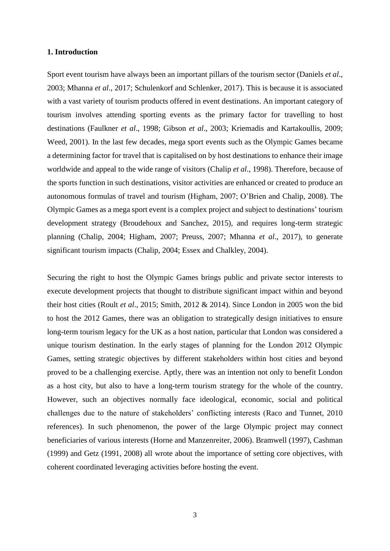#### **1. Introduction**

Sport event tourism have always been an important pillars of the tourism sector (Daniels *et al*., 2003; Mhanna *et al*., 2017; Schulenkorf and Schlenker, 2017). This is because it is associated with a vast variety of tourism products offered in event destinations. An important category of tourism involves attending sporting events as the primary factor for travelling to host destinations (Faulkner *et al*., 1998; Gibson *et al*., 2003; Kriemadis and Kartakoullis, 2009; Weed, 2001). In the last few decades, mega sport events such as the Olympic Games became a determining factor for travel that is capitalised on by host destinations to enhance their image worldwide and appeal to the wide range of visitors (Chalip *et al*., 1998). Therefore, because of the sports function in such destinations, visitor activities are enhanced or created to produce an autonomous formulas of travel and tourism (Higham, 2007; O'Brien and Chalip, 2008). The Olympic Games as a mega sport event is a complex project and subject to destinations' tourism development strategy (Broudehoux and Sanchez, 2015), and requires long-term strategic planning (Chalip, 2004; Higham, 2007; Preuss, 2007; Mhanna *et al*., 2017), to generate significant tourism impacts (Chalip, 2004; Essex and Chalkley, 2004).

Securing the right to host the Olympic Games brings public and private sector interests to execute development projects that thought to distribute significant impact within and beyond their host cities (Roult *et al*., 2015; Smith, 2012 & 2014). Since London in 2005 won the bid to host the 2012 Games, there was an obligation to strategically design initiatives to ensure long-term tourism legacy for the UK as a host nation, particular that London was considered a unique tourism destination. In the early stages of planning for the London 2012 Olympic Games, setting strategic objectives by different stakeholders within host cities and beyond proved to be a challenging exercise. Aptly, there was an intention not only to benefit London as a host city, but also to have a long-term tourism strategy for the whole of the country. However, such an objectives normally face ideological, economic, social and political challenges due to the nature of stakeholders' conflicting interests (Raco and Tunnet, 2010 references). In such phenomenon, the power of the large Olympic project may connect beneficiaries of various interests (Horne and Manzenreiter, 2006). Bramwell (1997), Cashman (1999) and Getz (1991, 2008) all wrote about the importance of setting core objectives, with coherent coordinated leveraging activities before hosting the event.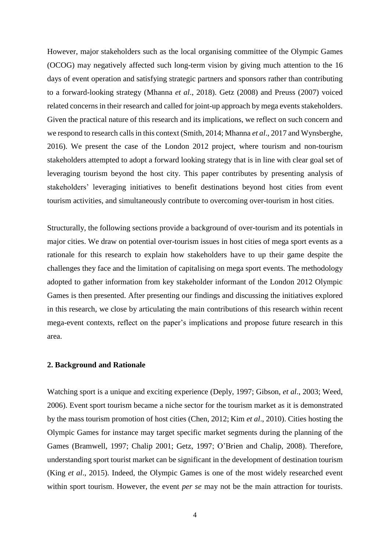However, major stakeholders such as the local organising committee of the Olympic Games (OCOG) may negatively affected such long-term vision by giving much attention to the 16 days of event operation and satisfying strategic partners and sponsors rather than contributing to a forward-looking strategy (Mhanna *et al*., 2018). Getz (2008) and Preuss (2007) voiced related concerns in their research and called for joint-up approach by mega events stakeholders. Given the practical nature of this research and its implications, we reflect on such concern and we respond to research calls in this context (Smith, 2014; Mhanna *et al*., 2017 and Wynsberghe, 2016). We present the case of the London 2012 project, where tourism and non-tourism stakeholders attempted to adopt a forward looking strategy that is in line with clear goal set of leveraging tourism beyond the host city. This paper contributes by presenting analysis of stakeholders' leveraging initiatives to benefit destinations beyond host cities from event tourism activities, and simultaneously contribute to overcoming over-tourism in host cities.

Structurally, the following sections provide a background of over-tourism and its potentials in major cities. We draw on potential over-tourism issues in host cities of mega sport events as a rationale for this research to explain how stakeholders have to up their game despite the challenges they face and the limitation of capitalising on mega sport events. The methodology adopted to gather information from key stakeholder informant of the London 2012 Olympic Games is then presented. After presenting our findings and discussing the initiatives explored in this research, we close by articulating the main contributions of this research within recent mega-event contexts, reflect on the paper's implications and propose future research in this area.

#### **2. Background and Rationale**

Watching sport is a unique and exciting experience (Deply, 1997; Gibson, *et al*., 2003; Weed, 2006). Event sport tourism became a niche sector for the tourism market as it is demonstrated by the mass tourism promotion of host cities (Chen, 2012; Kim *et al*., 2010). Cities hosting the Olympic Games for instance may target specific market segments during the planning of the Games (Bramwell, 1997; Chalip 2001; Getz, 1997; O'Brien and Chalip, 2008). Therefore, understanding sport tourist market can be significant in the development of destination tourism (King *et al*., 2015). Indeed, the Olympic Games is one of the most widely researched event within sport tourism. However, the event *per se* may not be the main attraction for tourists.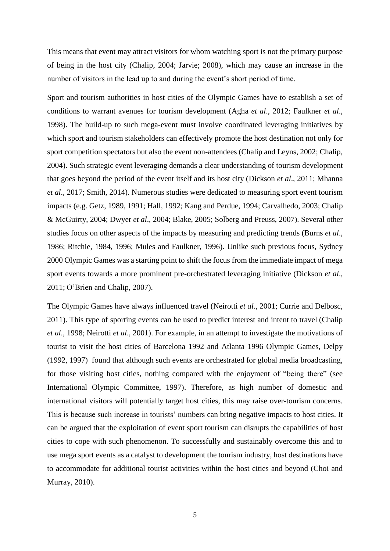This means that event may attract visitors for whom watching sport is not the primary purpose of being in the host city (Chalip, 2004; Jarvie; 2008), which may cause an increase in the number of visitors in the lead up to and during the event's short period of time.

Sport and tourism authorities in host cities of the Olympic Games have to establish a set of conditions to warrant avenues for tourism development (Agha *et al*., 2012; Faulkner *et al*., 1998). The build-up to such mega-event must involve coordinated leveraging initiatives by which sport and tourism stakeholders can effectively promote the host destination not only for sport competition spectators but also the event non-attendees (Chalip and Leyns, 2002; Chalip, 2004). Such strategic event leveraging demands a clear understanding of tourism development that goes beyond the period of the event itself and its host city (Dickson *et al*., 2011; Mhanna *et al*., 2017; Smith, 2014). Numerous studies were dedicated to measuring sport event tourism impacts (e.g. Getz, 1989, 1991; Hall, 1992; Kang and Perdue, 1994; Carvalhedo, 2003; Chalip & McGuirty, 2004; Dwyer *et al*., 2004; Blake, 2005; Solberg and Preuss, 2007). Several other studies focus on other aspects of the impacts by measuring and predicting trends (Burns *et al*., 1986; Ritchie, 1984, 1996; Mules and Faulkner, 1996). Unlike such previous focus, Sydney 2000 Olympic Games was a starting point to shift the focus from the immediate impact of mega sport events towards a more prominent pre-orchestrated leveraging initiative (Dickson *et al*., 2011; O'Brien and Chalip, 2007).

The Olympic Games have always influenced travel (Neirotti *et al*., 2001; Currie and Delbosc, 2011). This type of sporting events can be used to predict interest and intent to travel (Chalip *et al*., 1998; Neirotti *et al*., 2001). For example, in an attempt to investigate the motivations of tourist to visit the host cities of Barcelona 1992 and Atlanta 1996 Olympic Games, Delpy (1992, 1997) found that although such events are orchestrated for global media broadcasting, for those visiting host cities, nothing compared with the enjoyment of "being there" (see International Olympic Committee, 1997). Therefore, as high number of domestic and international visitors will potentially target host cities, this may raise over-tourism concerns. This is because such increase in tourists' numbers can bring negative impacts to host cities. It can be argued that the exploitation of event sport tourism can disrupts the capabilities of host cities to cope with such phenomenon. To successfully and sustainably overcome this and to use mega sport events as a catalyst to development the tourism industry, host destinations have to accommodate for additional tourist activities within the host cities and beyond (Choi and Murray, 2010).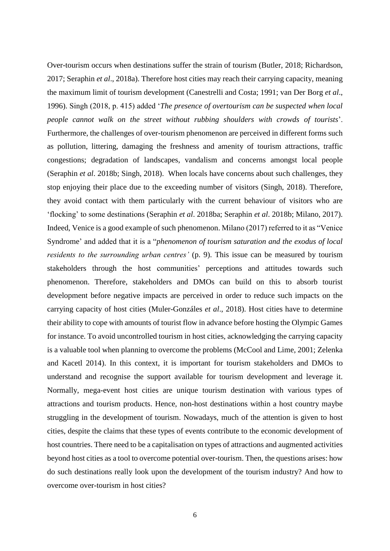Over-tourism occurs when destinations suffer the strain of tourism (Butler, 2018; Richardson, 2017; Seraphin *et al*., 2018a). Therefore host cities may reach their carrying capacity, meaning the maximum limit of tourism development (Canestrelli and Costa; 1991; van Der Borg *et al*., 1996). Singh (2018, p. 415) added '*The presence of overtourism can be suspected when local people cannot walk on the street without rubbing shoulders with crowds of tourists*'. Furthermore, the challenges of over-tourism phenomenon are perceived in different forms such as pollution, littering, damaging the freshness and amenity of tourism attractions, traffic congestions; degradation of landscapes, vandalism and concerns amongst local people (Seraphin *et al*. 2018b; Singh, 2018). When locals have concerns about such challenges, they stop enjoying their place due to the exceeding number of visitors (Singh, 2018). Therefore, they avoid contact with them particularly with the current behaviour of visitors who are 'flocking' to some destinations (Seraphin *et al*. 2018ba; Seraphin *et al*. 2018b; Milano, 2017). Indeed, Venice is a good example of such phenomenon. Milano (2017) referred to it as "Venice Syndrome' and added that it is a "*phenomenon of tourism saturation and the exodus of local residents to the surrounding urban centres'* (p. 9). This issue can be measured by tourism stakeholders through the host communities' perceptions and attitudes towards such phenomenon. Therefore, stakeholders and DMOs can build on this to absorb tourist development before negative impacts are perceived in order to reduce such impacts on the carrying capacity of host cities (Muler-Gonzáles *et al*., 2018). Host cities have to determine their ability to cope with amounts of tourist flow in advance before hosting the Olympic Games for instance. To avoid uncontrolled tourism in host cities, acknowledging the carrying capacity is a valuable tool when planning to overcome the problems (McCool and Lime, 2001; Zelenka and Kacetl 2014). In this context, it is important for tourism stakeholders and DMOs to understand and recognise the support available for tourism development and leverage it. Normally, mega-event host cities are unique tourism destination with various types of attractions and tourism products. Hence, non-host destinations within a host country maybe struggling in the development of tourism. Nowadays, much of the attention is given to host cities, despite the claims that these types of events contribute to the economic development of host countries. There need to be a capitalisation on types of attractions and augmented activities beyond host cities as a tool to overcome potential over-tourism. Then, the questions arises: how do such destinations really look upon the development of the tourism industry? And how to overcome over-tourism in host cities?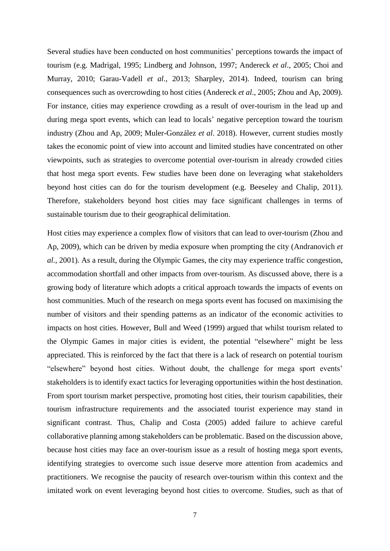Several studies have been conducted on host communities' perceptions towards the impact of tourism (e.g. Madrigal, 1995; Lindberg and Johnson, 1997; Andereck *et al*., 2005; Choi and Murray, 2010; Garau-Vadell *et al*., 2013; Sharpley, 2014). Indeed, tourism can bring consequences such as overcrowding to host cities (Andereck *et al*., 2005; Zhou and Ap, 2009). For instance, cities may experience crowding as a result of over-tourism in the lead up and during mega sport events, which can lead to locals' negative perception toward the tourism industry (Zhou and Ap, 2009; Muler-González *et al*. 2018). However, current studies mostly takes the economic point of view into account and limited studies have concentrated on other viewpoints, such as strategies to overcome potential over-tourism in already crowded cities that host mega sport events. Few studies have been done on leveraging what stakeholders beyond host cities can do for the tourism development (e.g. Beeseley and Chalip, 2011). Therefore, stakeholders beyond host cities may face significant challenges in terms of sustainable tourism due to their geographical delimitation.

Host cities may experience a complex flow of visitors that can lead to over-tourism (Zhou and Ap, 2009), which can be driven by media exposure when prompting the city (Andranovich *et al*., 2001). As a result, during the Olympic Games, the city may experience traffic congestion, accommodation shortfall and other impacts from over-tourism. As discussed above, there is a growing body of literature which adopts a critical approach towards the impacts of events on host communities. Much of the research on mega sports event has focused on maximising the number of visitors and their spending patterns as an indicator of the economic activities to impacts on host cities. However, Bull and Weed (1999) argued that whilst tourism related to the Olympic Games in major cities is evident, the potential "elsewhere" might be less appreciated. This is reinforced by the fact that there is a lack of research on potential tourism "elsewhere" beyond host cities. Without doubt, the challenge for mega sport events' stakeholders is to identify exact tactics for leveraging opportunities within the host destination. From sport tourism market perspective, promoting host cities, their tourism capabilities, their tourism infrastructure requirements and the associated tourist experience may stand in significant contrast. Thus, Chalip and Costa (2005) added failure to achieve careful collaborative planning among stakeholders can be problematic. Based on the discussion above, because host cities may face an over-tourism issue as a result of hosting mega sport events, identifying strategies to overcome such issue deserve more attention from academics and practitioners. We recognise the paucity of research over-tourism within this context and the imitated work on event leveraging beyond host cities to overcome. Studies, such as that of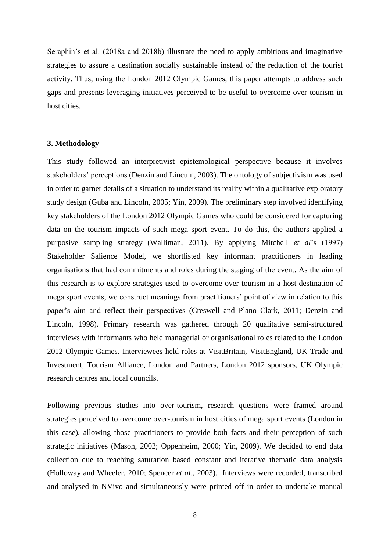Seraphin's et al. (2018a and 2018b) illustrate the need to apply ambitious and imaginative strategies to assure a destination socially sustainable instead of the reduction of the tourist activity. Thus, using the London 2012 Olympic Games, this paper attempts to address such gaps and presents leveraging initiatives perceived to be useful to overcome over-tourism in host cities.

#### **3. Methodology**

This study followed an interpretivist epistemological perspective because it involves stakeholders' perceptions (Denzin and Linculn, 2003). The ontology of subjectivism was used in order to garner details of a situation to understand its reality within a qualitative exploratory study design (Guba and Lincoln, 2005; Yin, 2009). The preliminary step involved identifying key stakeholders of the London 2012 Olympic Games who could be considered for capturing data on the tourism impacts of such mega sport event. To do this, the authors applied a purposive sampling strategy (Walliman, 2011). By applying Mitchell *et al*'s (1997) Stakeholder Salience Model, we shortlisted key informant practitioners in leading organisations that had commitments and roles during the staging of the event. As the aim of this research is to explore strategies used to overcome over-tourism in a host destination of mega sport events, we construct meanings from practitioners' point of view in relation to this paper's aim and reflect their perspectives (Creswell and Plano Clark, 2011; Denzin and Lincoln, 1998). Primary research was gathered through 20 qualitative semi-structured interviews with informants who held managerial or organisational roles related to the London 2012 Olympic Games. Interviewees held roles at VisitBritain, VisitEngland, UK Trade and Investment, Tourism Alliance, London and Partners, London 2012 sponsors, UK Olympic research centres and local councils.

Following previous studies into over-tourism, research questions were framed around strategies perceived to overcome over-tourism in host cities of mega sport events (London in this case), allowing those practitioners to provide both facts and their perception of such strategic initiatives (Mason, 2002; Oppenheim, 2000; Yin, 2009). We decided to end data collection due to reaching saturation based constant and iterative thematic data analysis (Holloway and Wheeler, 2010; Spencer *et al*., 2003). Interviews were recorded, transcribed and analysed in NVivo and simultaneously were printed off in order to undertake manual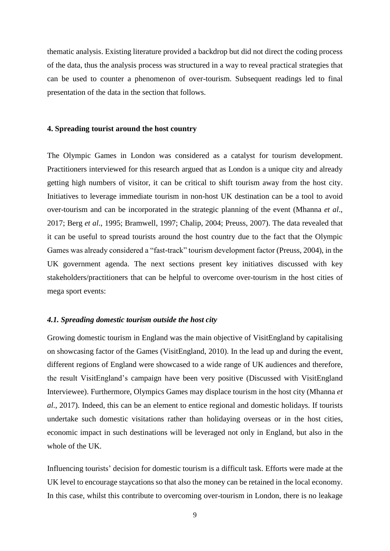thematic analysis. Existing literature provided a backdrop but did not direct the coding process of the data, thus the analysis process was structured in a way to reveal practical strategies that can be used to counter a phenomenon of over-tourism. Subsequent readings led to final presentation of the data in the section that follows.

### **4. Spreading tourist around the host country**

The Olympic Games in London was considered as a catalyst for tourism development. Practitioners interviewed for this research argued that as London is a unique city and already getting high numbers of visitor, it can be critical to shift tourism away from the host city. Initiatives to leverage immediate tourism in non-host UK destination can be a tool to avoid over-tourism and can be incorporated in the strategic planning of the event (Mhanna *et al*., 2017; Berg *et al*., 1995; Bramwell, 1997; Chalip, 2004; Preuss, 2007). The data revealed that it can be useful to spread tourists around the host country due to the fact that the Olympic Games was already considered a "fast-track" tourism development factor (Preuss, 2004), in the UK government agenda. The next sections present key initiatives discussed with key stakeholders/practitioners that can be helpful to overcome over-tourism in the host cities of mega sport events:

### *4.1. Spreading domestic tourism outside the host city*

Growing domestic tourism in England was the main objective of VisitEngland by capitalising on showcasing factor of the Games (VisitEngland, 2010). In the lead up and during the event, different regions of England were showcased to a wide range of UK audiences and therefore, the result VisitEngland's campaign have been very positive (Discussed with VisitEngland Interviewee). Furthermore, Olympics Games may displace tourism in the host city (Mhanna *et al*., 2017). Indeed, this can be an element to entice regional and domestic holidays. If tourists undertake such domestic visitations rather than holidaying overseas or in the host cities, economic impact in such destinations will be leveraged not only in England, but also in the whole of the UK.

Influencing tourists' decision for domestic tourism is a difficult task. Efforts were made at the UK level to encourage staycations so that also the money can be retained in the local economy. In this case, whilst this contribute to overcoming over-tourism in London, there is no leakage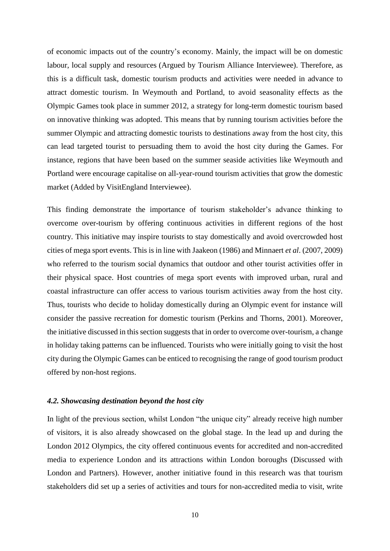of economic impacts out of the country's economy. Mainly, the impact will be on domestic labour, local supply and resources (Argued by Tourism Alliance Interviewee). Therefore, as this is a difficult task, domestic tourism products and activities were needed in advance to attract domestic tourism. In Weymouth and Portland, to avoid seasonality effects as the Olympic Games took place in summer 2012, a strategy for long-term domestic tourism based on innovative thinking was adopted. This means that by running tourism activities before the summer Olympic and attracting domestic tourists to destinations away from the host city, this can lead targeted tourist to persuading them to avoid the host city during the Games. For instance, regions that have been based on the summer seaside activities like Weymouth and Portland were encourage capitalise on all-year-round tourism activities that grow the domestic market (Added by VisitEngland Interviewee).

This finding demonstrate the importance of tourism stakeholder's advance thinking to overcome over-tourism by offering continuous activities in different regions of the host country. This initiative may inspire tourists to stay domestically and avoid overcrowded host cities of mega sport events. This is in line with Jaakeon (1986) and Minnaert *et al*. (2007, 2009) who referred to the tourism social dynamics that outdoor and other tourist activities offer in their physical space. Host countries of mega sport events with improved urban, rural and coastal infrastructure can offer access to various tourism activities away from the host city. Thus, tourists who decide to holiday domestically during an Olympic event for instance will consider the passive recreation for domestic tourism (Perkins and Thorns, 2001). Moreover, the initiative discussed in this section suggests that in order to overcome over-tourism, a change in holiday taking patterns can be influenced. Tourists who were initially going to visit the host city during the Olympic Games can be enticed to recognising the range of good tourism product offered by non-host regions.

#### *4.2. Showcasing destination beyond the host city*

In light of the previous section, whilst London "the unique city" already receive high number of visitors, it is also already showcased on the global stage. In the lead up and during the London 2012 Olympics, the city offered continuous events for accredited and non-accredited media to experience London and its attractions within London boroughs (Discussed with London and Partners). However, another initiative found in this research was that tourism stakeholders did set up a series of activities and tours for non-accredited media to visit, write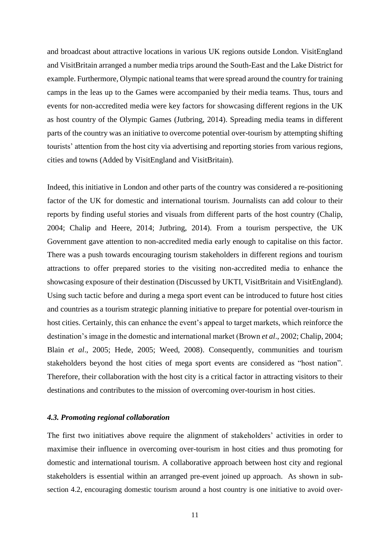and broadcast about attractive locations in various UK regions outside London. VisitEngland and VisitBritain arranged a number media trips around the South-East and the Lake District for example. Furthermore, Olympic national teams that were spread around the country for training camps in the leas up to the Games were accompanied by their media teams. Thus, tours and events for non-accredited media were key factors for showcasing different regions in the UK as host country of the Olympic Games (Jutbring, 2014). Spreading media teams in different parts of the country was an initiative to overcome potential over-tourism by attempting shifting tourists' attention from the host city via advertising and reporting stories from various regions, cities and towns (Added by VisitEngland and VisitBritain).

Indeed, this initiative in London and other parts of the country was considered a re-positioning factor of the UK for domestic and international tourism. Journalists can add colour to their reports by finding useful stories and visuals from different parts of the host country (Chalip, 2004; Chalip and Heere, 2014; Jutbring, 2014). From a tourism perspective, the UK Government gave attention to non-accredited media early enough to capitalise on this factor. There was a push towards encouraging tourism stakeholders in different regions and tourism attractions to offer prepared stories to the visiting non-accredited media to enhance the showcasing exposure of their destination (Discussed by UKTI, VisitBritain and VisitEngland). Using such tactic before and during a mega sport event can be introduced to future host cities and countries as a tourism strategic planning initiative to prepare for potential over-tourism in host cities. Certainly, this can enhance the event's appeal to target markets, which reinforce the destination's image in the domestic and international market (Brown *et al*., 2002; Chalip, 2004; Blain *et al*., 2005; Hede, 2005; Weed, 2008). Consequently, communities and tourism stakeholders beyond the host cities of mega sport events are considered as "host nation". Therefore, their collaboration with the host city is a critical factor in attracting visitors to their destinations and contributes to the mission of overcoming over-tourism in host cities.

#### *4.3. Promoting regional collaboration*

The first two initiatives above require the alignment of stakeholders' activities in order to maximise their influence in overcoming over-tourism in host cities and thus promoting for domestic and international tourism. A collaborative approach between host city and regional stakeholders is essential within an arranged pre-event joined up approach. As shown in subsection 4.2, encouraging domestic tourism around a host country is one initiative to avoid over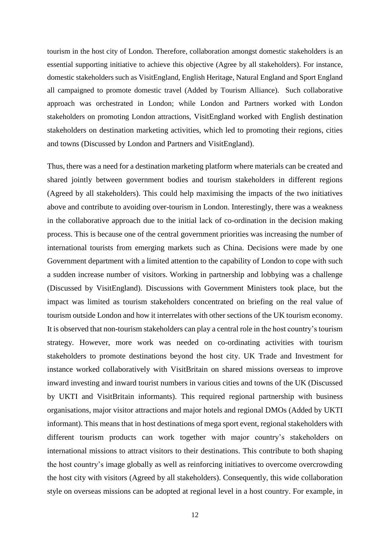tourism in the host city of London. Therefore, collaboration amongst domestic stakeholders is an essential supporting initiative to achieve this objective (Agree by all stakeholders). For instance, domestic stakeholders such as VisitEngland, English Heritage, Natural England and Sport England all campaigned to promote domestic travel (Added by Tourism Alliance). Such collaborative approach was orchestrated in London; while London and Partners worked with London stakeholders on promoting London attractions, VisitEngland worked with English destination stakeholders on destination marketing activities, which led to promoting their regions, cities and towns (Discussed by London and Partners and VisitEngland).

Thus, there was a need for a destination marketing platform where materials can be created and shared jointly between government bodies and tourism stakeholders in different regions (Agreed by all stakeholders). This could help maximising the impacts of the two initiatives above and contribute to avoiding over-tourism in London. Interestingly, there was a weakness in the collaborative approach due to the initial lack of co-ordination in the decision making process. This is because one of the central government priorities was increasing the number of international tourists from emerging markets such as China. Decisions were made by one Government department with a limited attention to the capability of London to cope with such a sudden increase number of visitors. Working in partnership and lobbying was a challenge (Discussed by VisitEngland). Discussions with Government Ministers took place, but the impact was limited as tourism stakeholders concentrated on briefing on the real value of tourism outside London and how it interrelates with other sections of the UK tourism economy. It is observed that non-tourism stakeholders can play a central role in the host country's tourism strategy. However, more work was needed on co-ordinating activities with tourism stakeholders to promote destinations beyond the host city. UK Trade and Investment for instance worked collaboratively with VisitBritain on shared missions overseas to improve inward investing and inward tourist numbers in various cities and towns of the UK (Discussed by UKTI and VisitBritain informants). This required regional partnership with business organisations, major visitor attractions and major hotels and regional DMOs (Added by UKTI informant). This means that in host destinations of mega sport event, regional stakeholders with different tourism products can work together with major country's stakeholders on international missions to attract visitors to their destinations. This contribute to both shaping the host country's image globally as well as reinforcing initiatives to overcome overcrowding the host city with visitors (Agreed by all stakeholders). Consequently, this wide collaboration style on overseas missions can be adopted at regional level in a host country. For example, in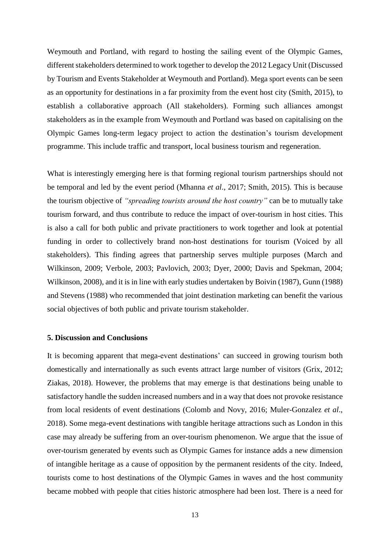Weymouth and Portland, with regard to hosting the sailing event of the Olympic Games, different stakeholders determined to work together to develop the 2012 Legacy Unit (Discussed by Tourism and Events Stakeholder at Weymouth and Portland). Mega sport events can be seen as an opportunity for destinations in a far proximity from the event host city (Smith, 2015), to establish a collaborative approach (All stakeholders). Forming such alliances amongst stakeholders as in the example from Weymouth and Portland was based on capitalising on the Olympic Games long-term legacy project to action the destination's tourism development programme. This include traffic and transport, local business tourism and regeneration.

What is interestingly emerging here is that forming regional tourism partnerships should not be temporal and led by the event period (Mhanna *et al*., 2017; Smith, 2015). This is because the tourism objective of *"spreading tourists around the host country"* can be to mutually take tourism forward, and thus contribute to reduce the impact of over-tourism in host cities. This is also a call for both public and private practitioners to work together and look at potential funding in order to collectively brand non-host destinations for tourism (Voiced by all stakeholders). This finding agrees that partnership serves multiple purposes (March and Wilkinson, 2009; Verbole, 2003; Pavlovich, 2003; Dyer, 2000; Davis and Spekman, 2004; Wilkinson, 2008), and it is in line with early studies undertaken by Boivin (1987), Gunn (1988) and Stevens (1988) who recommended that joint destination marketing can benefit the various social objectives of both public and private tourism stakeholder.

#### **5. Discussion and Conclusions**

It is becoming apparent that mega-event destinations' can succeed in growing tourism both domestically and internationally as such events attract large number of visitors (Grix, 2012; Ziakas, 2018). However, the problems that may emerge is that destinations being unable to satisfactory handle the sudden increased numbers and in a way that does not provoke resistance from local residents of event destinations (Colomb and Novy, 2016; Muler-Gonzalez *et al*., 2018). Some mega-event destinations with tangible heritage attractions such as London in this case may already be suffering from an over-tourism phenomenon. We argue that the issue of over-tourism generated by events such as Olympic Games for instance adds a new dimension of intangible heritage as a cause of opposition by the permanent residents of the city. Indeed, tourists come to host destinations of the Olympic Games in waves and the host community became mobbed with people that cities historic atmosphere had been lost. There is a need for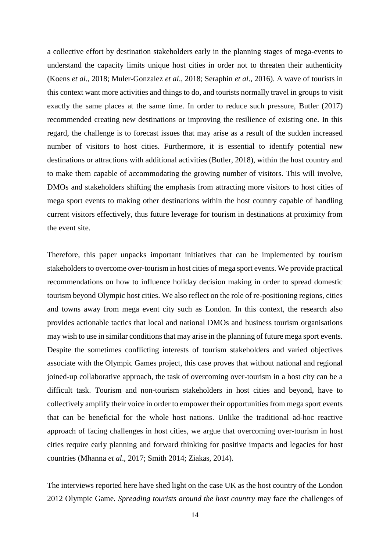a collective effort by destination stakeholders early in the planning stages of mega-events to understand the capacity limits unique host cities in order not to threaten their authenticity (Koens *et al*., 2018; Muler-Gonzalez *et al*., 2018; Seraphin *et al*., 2016). A wave of tourists in this context want more activities and things to do, and tourists normally travel in groups to visit exactly the same places at the same time. In order to reduce such pressure, Butler (2017) recommended creating new destinations or improving the resilience of existing one. In this regard, the challenge is to forecast issues that may arise as a result of the sudden increased number of visitors to host cities. Furthermore, it is essential to identify potential new destinations or attractions with additional activities (Butler, 2018), within the host country and to make them capable of accommodating the growing number of visitors. This will involve, DMOs and stakeholders shifting the emphasis from attracting more visitors to host cities of mega sport events to making other destinations within the host country capable of handling current visitors effectively, thus future leverage for tourism in destinations at proximity from the event site.

Therefore, this paper unpacks important initiatives that can be implemented by tourism stakeholders to overcome over-tourism in host cities of mega sport events. We provide practical recommendations on how to influence holiday decision making in order to spread domestic tourism beyond Olympic host cities. We also reflect on the role of re-positioning regions, cities and towns away from mega event city such as London. In this context, the research also provides actionable tactics that local and national DMOs and business tourism organisations may wish to use in similar conditions that may arise in the planning of future mega sport events. Despite the sometimes conflicting interests of tourism stakeholders and varied objectives associate with the Olympic Games project, this case proves that without national and regional joined-up collaborative approach, the task of overcoming over-tourism in a host city can be a difficult task. Tourism and non-tourism stakeholders in host cities and beyond, have to collectively amplify their voice in order to empower their opportunities from mega sport events that can be beneficial for the whole host nations. Unlike the traditional ad-hoc reactive approach of facing challenges in host cities, we argue that overcoming over-tourism in host cities require early planning and forward thinking for positive impacts and legacies for host countries (Mhanna *et al*., 2017; Smith 2014; Ziakas, 2014).

The interviews reported here have shed light on the case UK as the host country of the London 2012 Olympic Game. *Spreading tourists around the host country* may face the challenges of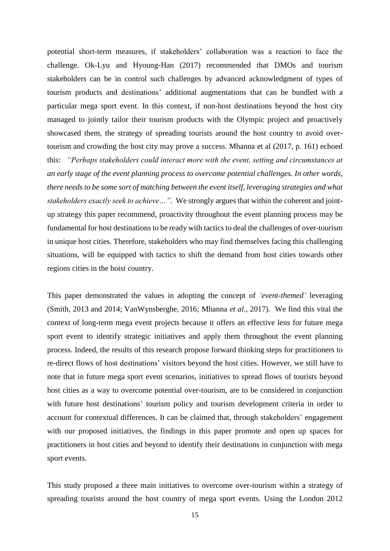potential short-term measures, if stakeholders' collaboration was a reaction to face the challenge. Ok-Lyu and Hyoung-Han (2017) recommended that DMOs and tourism stakeholders can be in control such challenges by advanced acknowledgment of types of tourism products and destinations' additional augmentations that can be bundled with a particular mega sport event. In this context, if non-host destinations beyond the host city managed to jointly tailor their tourism products with the Olympic project and proactively showcased them, the strategy of spreading tourists around the host country to avoid overtourism and crowding the host city may prove a success. Mhanna et al (2017, p. 161) echoed this: *"Perhaps stakeholders could interact more with the event, setting and circumstances at an early stage of the event planning process to overcome potential challenges. In other words, there needs to be some sort of matching between the event itself, leveraging strategies and what stakeholders exactly seek to achieve…".* We strongly argues that within the coherent and jointup strategy this paper recommend, proactivity throughout the event planning process may be fundamental for host destinations to be ready with tactics to deal the challenges of over-tourism in unique host cities. Therefore, stakeholders who may find themselves facing this challenging situations, will be equipped with tactics to shift the demand from host cities towards other regions cities in the hoist country.

This paper demonstrated the values in adopting the concept of *'event-themed'* leveraging (Smith, 2013 and 2014; VanWynsberghe, 2016; Mhanna *et al*., 2017). We find this vital the context of long-term mega event projects because it offers an effective lens for future mega sport event to identify strategic initiatives and apply them throughout the event planning process. Indeed, the results of this research propose forward thinking steps for practitioners to re-direct flows of host destinations' visitors beyond the host cities. However, we still have to note that in future mega sport event scenarios, initiatives to spread flows of tourists beyond host cities as a way to overcome potential over-tourism, are to be considered in conjunction with future host destinations' tourism policy and tourism development criteria in order to account for contextual differences. It can be claimed that, through stakeholders' engagement with our proposed initiatives, the findings in this paper promote and open up spaces for practitioners in host cities and beyond to identify their destinations in conjunction with mega sport events.

This study proposed a three main initiatives to overcome over-tourism within a strategy of spreading tourists around the host country of mega sport events. Using the London 2012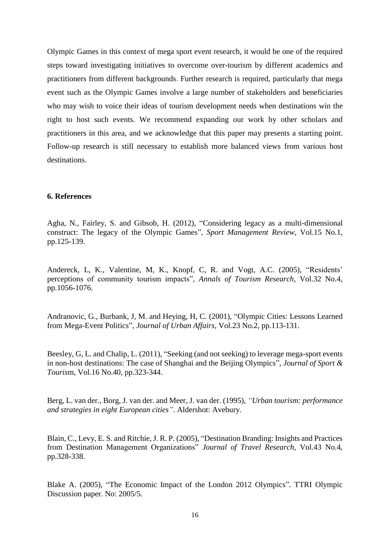Olympic Games in this context of mega sport event research, it would be one of the required steps toward investigating initiatives to overcome over-tourism by different academics and practitioners from different backgrounds. Further research is required, particularly that mega event such as the Olympic Games involve a large number of stakeholders and beneficiaries who may wish to voice their ideas of tourism development needs when destinations win the right to host such events. We recommend expanding our work by other scholars and practitioners in this area, and we acknowledge that this paper may presents a starting point. Follow-up research is still necessary to establish more balanced views from various host destinations.

## **6. References**

Agha, N., Fairley, S. and Gibsob, H. (2012), "Considering legacy as a multi-dimensional construct: The legacy of the Olympic Games", *Sport Management Review*, Vol.15 No.1, pp.125-139.

Andereck, L, K., Valentine, M, K., Knopf, C, R. and Vogt, A.C. (2005), "Residents' perceptions of community tourism impacts", *Annals of Tourism Research*, Vol.32 No.4, pp.1056-1076.

Andranovic, G., Burbank, J, M. and Heying, H, C. (2001), "Olympic Cities: Lessons Learned from Mega-Event Politics", *Journal of Urban Affairs*, Vol.23 No.2, pp.113-131.

Beesley, G, L. and Chalip, L. (2011), "Seeking (and not seeking) to leverage mega-sport events in non-host destinations: The case of Shanghai and the Beijing Olympics", *Journal of Sport & Touris*m, Vol.16 No.40, pp.323-344.

Berg, L. van der., Borg, J. van der. and Meer, J. van der. (1995), *"Urban tourism: performance and strategies in eight European cities"*. Aldershot: Avebury.

Blain, C., Levy, E. S. and Ritchie, J. R. P. (2005), "Destination Branding: Insights and Practices from Destination Management Organizations" *Journal of Travel Research*, Vol.43 No.4, pp.328-338.

Blake A. (2005), "The Economic Impact of the London 2012 Olympics". TTRI Olympic Discussion paper. No: 2005/5.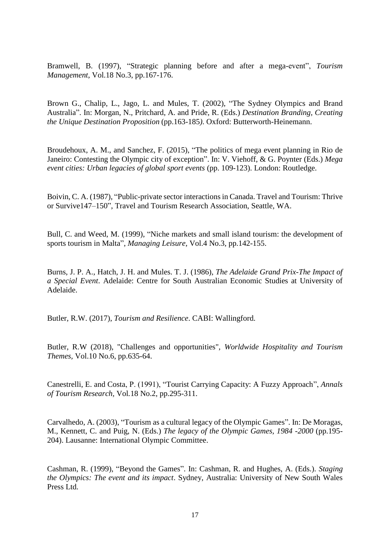Bramwell, B. (1997), "Strategic planning before and after a mega-event", *Tourism Management*, Vol.18 No.3, pp.167-176.

Brown G., Chalip, L., Jago, L. and Mules, T. (2002), "The Sydney Olympics and Brand Australia". In: Morgan, N., Pritchard, A. and Pride, R. (Eds.) *Destination Branding, Creating the Unique Destination Proposition* (pp.163-185*)*. Oxford: Butterworth-Heinemann.

Broudehoux, A. M., and Sanchez, F. (2015), "The politics of mega event planning in Rio de Janeiro: Contesting the Olympic city of exception". In: V. Viehoff, & G. Poynter (Eds.) *Mega event cities: Urban legacies of global sport events* (pp. 109-123). London: Routledge.

Boivin, C. A. (1987), "Public-private sector interactions in Canada. Travel and Tourism: Thrive or Survive147–150", Travel and Tourism Research Association, Seattle, WA.

Bull, C. and Weed, M. (1999), "Niche markets and small island tourism: the development of sports tourism in Malta", *Managing Leisure*, Vol.4 No.3, pp.142-155.

Burns, J. P. A., Hatch, J. H. and Mules. T. J. (1986), *The Adelaide Grand Prix-The Impact of a Special Event*. Adelaide: Centre for South Australian Economic Studies at University of Adelaide.

Butler, R.W. (2017), *Tourism and Resilience*. CABI: Wallingford.

Butler, R.W (2018), "Challenges and opportunities", *Worldwide Hospitality and Tourism Themes,* Vol.10 No.6, pp.635-64.

Canestrelli, E. and Costa, P. (1991), "Tourist Carrying Capacity: A Fuzzy Approach", *Annals of Tourism Research,* Vol*.*18 No.2, pp.295-311.

Carvalhedo, A. (2003), "Tourism as a cultural legacy of the Olympic Games". In: De Moragas, M., Kennett, C. and Puig, N. (Eds.) *The legacy of the Olympic Games, 1984 -2000* (pp.195- 204). Lausanne: International Olympic Committee.

Cashman, R. (1999), "Beyond the Games". In: Cashman, R. and Hughes, A. (Eds.). *Staging the Olympics: The event and its impact*. Sydney, Australia: University of New South Wales Press Ltd.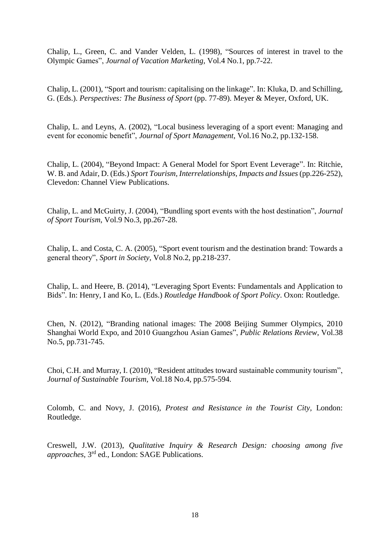Chalip, L., Green, C. and Vander Velden, L. (1998), "Sources of interest in travel to the Olympic Games", *Journal of Vacation Marketing*, Vol.4 No.1, pp.7-22.

Chalip, L. (2001), "Sport and tourism: capitalising on the linkage". In: Kluka, D. and Schilling, G. (Eds.). *Perspectives: The Business of Sport* (pp. 77-89). Meyer & Meyer, Oxford, UK.

Chalip, L. and Leyns, A. (2002), "Local business leveraging of a sport event: Managing and event for economic benefit", *Journal of Sport Management*, Vol.16 No.2, pp.132-158.

Chalip, L. (2004), "Beyond Impact: A General Model for Sport Event Leverage". In: Ritchie, W. B. and Adair, D. (Eds.) *Sport Tourism, Interrelationships, Impacts and Issues* (pp.226-252), Clevedon: Channel View Publications.

Chalip, L. and McGuirty, J. (2004), "Bundling sport events with the host destination", *Journal of Sport Tourism*, Vol.9 No.3, pp.267-28.

Chalip, L. and Costa, C. A. (2005), "Sport event tourism and the destination brand: Towards a general theory", *Sport in Society*, Vol.8 No.2, pp.218-237.

Chalip, L. and Heere, B. (2014), "Leveraging Sport Events: Fundamentals and Application to Bids". In: Henry, I and Ko, L. (Eds.) *Routledge Handbook of Sport Policy*. Oxon: Routledge.

Chen, N. (2012), "Branding national images: The 2008 Beijing Summer Olympics, 2010 Shanghai World Expo, and 2010 Guangzhou Asian Games", *Public Relations Review*, Vol.38 No.5, pp.731-745.

Choi, C.H. and Murray, I. (2010), "Resident attitudes toward sustainable community tourism", *Journal of Sustainable Tourism*, Vol.18 No.4, pp.575-594.

Colomb, C. and Novy, J. (2016), *Protest and Resistance in the Tourist City,* London: Routledge.

Creswell, J.W. (2013), *Qualitative Inquiry & Research Design: choosing among five approaches*, 3rd ed., London: SAGE Publications.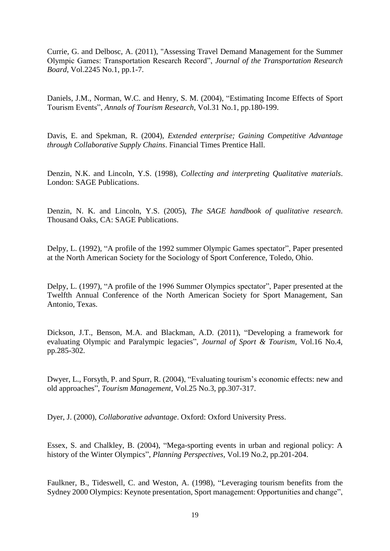Currie, G. and Delbosc, A. (2011), "Assessing Travel Demand Management for the Summer Olympic Games: Transportation Research Record", *Journal of the Transportation Research Board*, Vol.2245 No.1, pp.1-7.

Daniels, J.M., Norman, W.C. and Henry, S. M. (2004), "Estimating Income Effects of Sport Tourism Events", *Annals of Tourism Research*, Vol.31 No.1, pp.180-199.

Davis, E. and Spekman, R. (2004), *Extended enterprise; Gaining Competitive Advantage through Collaborative Supply Chains*. Financial Times Prentice Hall.

Denzin, N.K. and Lincoln, Y.S. (1998), *Collecting and interpreting Qualitative materials*. London: SAGE Publications.

Denzin, N. K. and Lincoln, Y.S. (2005), *The SAGE handbook of qualitative research*. Thousand Oaks, CA: SAGE Publications.

Delpy, L. (1992), "A profile of the 1992 summer Olympic Games spectator", Paper presented at the North American Society for the Sociology of Sport Conference, Toledo, Ohio.

Delpy, L. (1997), "A profile of the 1996 Summer Olympics spectator", Paper presented at the Twelfth Annual Conference of the North American Society for Sport Management, San Antonio, Texas.

Dickson, J.T., Benson, M.A. and Blackman, A.D. (2011), "Developing a framework for evaluating Olympic and Paralympic legacies", *Journal of Sport & Tourism*, Vol.16 No.4, pp.285-302.

Dwyer, L., Forsyth, P. and Spurr, R. (2004), "Evaluating tourism's economic effects: new and old approaches", *Tourism Management*, Vol.25 No.3, pp.307-317.

Dyer, J. (2000), *Collaborative advantage*. Oxford: Oxford University Press.

Essex, S. and Chalkley, B. (2004), "Mega-sporting events in urban and regional policy: A history of the Winter Olympics", *Planning Perspectives*, Vol.19 No.2, pp.201-204.

Faulkner, B., Tideswell, C. and Weston, A. (1998), "Leveraging tourism benefits from the Sydney 2000 Olympics: Keynote presentation, Sport management: Opportunities and change",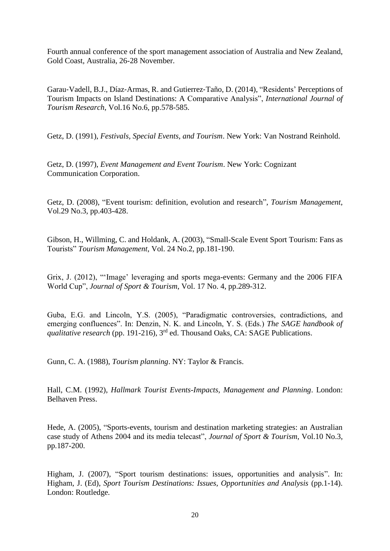Fourth annual conference of the sport management association of Australia and New Zealand, Gold Coast, Australia, 26-28 November.

Garau‐Vadell, B.J., Díaz‐Armas, R. and Gutierrez‐Taño, D. (2014), "Residents' Perceptions of Tourism Impacts on Island Destinations: A Comparative Analysis", *International Journal of Tourism Research*, Vol.16 No.6, pp.578-585.

Getz, D. (1991), *Festivals, Special Events, and Tourism*. New York: Van Nostrand Reinhold.

Getz, D. (1997), *Event Management and Event Tourism*. New York: Cognizant Communication Corporation.

Getz, D. (2008), "Event tourism: definition, evolution and research", *Tourism Management*, Vol.29 No.3, pp.403-428.

Gibson, H., Willming, C. and Holdank, A. (2003), "Small-Scale Event Sport Tourism: Fans as Tourists" *Tourism Management*, Vol. 24 No.2, pp.181-190.

Grix, J. (2012), "'Image' leveraging and sports mega-events: Germany and the 2006 FIFA World Cup", *Journal of Sport & Tourism*, Vol. 17 No. 4, pp.289-312.

Guba, E.G. and Lincoln, Y.S. (2005), "Paradigmatic controversies, contradictions, and emerging confluences". In: Denzin, N. K. and Lincoln, Y. S. (Eds.) *The SAGE handbook of qualitative research* (pp. 191-216), 3rd ed. Thousand Oaks, CA: SAGE Publications.

Gunn, C. A. (1988), *Tourism planning*. NY: Taylor & Francis.

Hall, C.M. (1992), *Hallmark Tourist Events-Impacts, Management and Planning*. London: Belhaven Press.

Hede, A. (2005), "Sports-events, tourism and destination marketing strategies: an Australian case study of Athens 2004 and its media telecast", *Journal of Sport & Tourism*, Vol.10 No.3, pp.187-200.

Higham, J. (2007), "Sport tourism destinations: issues, opportunities and analysis". In: Higham, J. (Ed), *Sport Tourism Destinations: Issues, Opportunities and Analysis* (pp.1-14). London: Routledge.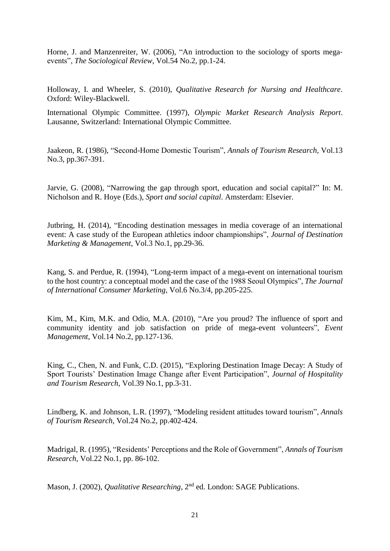Horne, J. and Manzenreiter, W. (2006), "An introduction to the sociology of sports megaevents", *The Sociological Review*, Vol.54 No.2, pp.1-24.

Holloway, I. and Wheeler, S. (2010), *Qualitative Research for Nursing and Healthcare*. Oxford: Wiley-Blackwell.

International Olympic Committee. (1997), *Olympic Market Research Analysis Report*. Lausanne, Switzerland: International Olympic Committee.

Jaakeon, R. (1986), "Second-Home Domestic Tourism", *Annals of Tourism Research*, Vol.13 No.3, pp.367-391.

Jarvie, G. (2008), "Narrowing the gap through sport, education and social capital?" In: M. Nicholson and R. Hoye (Eds.), *Sport and social capital*. Amsterdam: Elsevier.

Jutbring, H. (2014), "Encoding destination messages in media coverage of an international event: A case study of the European athletics indoor championships", *Journal of Destination Marketing & Management*, Vol.3 No.1, pp.29-36.

Kang, S. and Perdue, R. (1994), "Long-term impact of a mega-event on international tourism to the host country: a conceptual model and the case of the 1988 Seoul Olympics", *The Journal of International Consumer Marketing*, Vol.6 No.3/4, pp.205-225.

Kim, M., Kim, M.K. and Odio, M.A. (2010), "Are you proud? The influence of sport and community identity and job satisfaction on pride of mega-event volunteers", *Event Management,* Vol.14 No.2, pp.127-136.

King, C., Chen, N. and Funk, C.D. (2015), "Exploring Destination Image Decay: A Study of Sport Tourists' Destination Image Change after Event Participation", *Journal of Hospitality and Tourism Research*, Vol.39 No.1, pp.3-31.

Lindberg, K. and Johnson, L.R. (1997), "Modeling resident attitudes toward tourism", *Annals of Tourism Research*, Vol.24 No.2, pp.402-424.

Madrigal, R. (1995), "Residents' Perceptions and the Role of Government", *Annals of Tourism Research*, Vol.22 No.1, pp. 86-102.

Mason, J. (2002), *Qualitative Researching*, 2<sup>nd</sup> ed. London: SAGE Publications.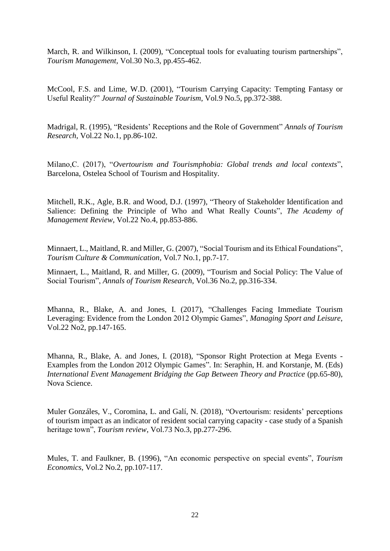March, R. and Wilkinson, I. (2009), "Conceptual tools for evaluating tourism partnerships", *Tourism Management,* Vol.30 No.3, pp.455-462.

McCool, F.S. and Lime, W.D. (2001), "Tourism Carrying Capacity: Tempting Fantasy or Useful Reality?" *Journal of Sustainable Tourism*, Vol.9 No.5, pp.372-388.

Madrigal, R. (1995), "Residents' Receptions and the Role of Government" *Annals of Tourism Research*, Vol.22 No.1, pp.86-102.

Milano,C. (2017), "*Overtourism and Tourismphobia: Global trends and local contexts*", Barcelona, Ostelea School of Tourism and Hospitality.

Mitchell, R.K., Agle, B.R. and Wood, D.J. (1997), "Theory of Stakeholder Identification and Salience: Defining the Principle of Who and What Really Counts", *The Academy of Management Review*, Vol.22 No.4, pp.853-886.

Minnaert, L., Maitland, R. and Miller, G. (2007), "Social Tourism and its Ethical Foundations", *Tourism Culture & Communication*, Vol.7 No.1, pp.7-17.

Minnaert, L., Maitland, R. and Miller, G. (2009), "Tourism and Social Policy: The Value of Social Tourism", *Annals of Tourism Research*, Vol.36 No.2, pp.316-334.

Mhanna, R., Blake, A. and Jones, I. (2017), "Challenges Facing Immediate Tourism Leveraging: Evidence from the London 2012 Olympic Games", *Managing Sport and Leisure*, Vol.22 No2, pp.147-165.

Mhanna, R., Blake, A. and Jones, I. (2018), "Sponsor Right Protection at Mega Events - Examples from the London 2012 Olympic Games". In: Seraphin, H. and Korstanje, M. (Eds) *International Event Management Bridging the Gap Between Theory and Practice* (pp.65-80), Nova Science.

Muler Gonzáles, V., Coromina, L. and Galí, N. (2018), "Overtourism: residents' perceptions of tourism impact as an indicator of resident social carrying capacity - case study of a Spanish heritage town", *Tourism review*, Vol.73 No.3, pp.277-296.

Mules, T. and Faulkner, B. (1996), "An economic perspective on special events", *Tourism Economics*, Vol.2 No.2, pp.107-117.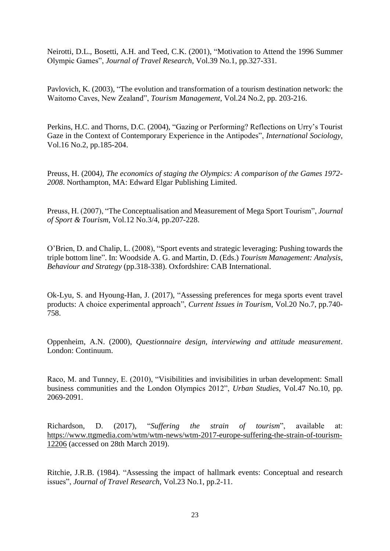Neirotti, D.L., Bosetti, A.H. and Teed, C.K. (2001), "Motivation to Attend the 1996 Summer Olympic Games", *Journal of Travel Research*, Vol.39 No.1, pp.327-331.

Pavlovich, K. (2003), "The evolution and transformation of a tourism destination network: the Waitomo Caves, New Zealand", *Tourism Management*, Vol.24 No.2, pp. 203-216.

Perkins, H.C. and Thorns, D.C. (2004), "Gazing or Performing? Reflections on Urry's Tourist Gaze in the Context of Contemporary Experience in the Antipodes", *International Sociology*, Vol.16 No.2, pp.185-204.

Preuss, H. (2004*), The economics of staging the Olympics: A comparison of the Games 1972- 2008*. Northampton, MA: Edward Elgar Publishing Limited.

Preuss, H. (2007), "The Conceptualisation and Measurement of Mega Sport Tourism", *Journal of Sport & Tourism*, Vol.12 No.3/4, pp.207-228.

O'Brien, D. and Chalip, L. (2008), "Sport events and strategic leveraging: Pushing towards the triple bottom line". In: Woodside A. G. and Martin, D. (Eds.) *Tourism Management: Analysis, Behaviour and Strategy* (pp.318-338). Oxfordshire: CAB International.

Ok-Lyu, S. and Hyoung-Han, J. (2017), "Assessing preferences for mega sports event travel products: A choice experimental approach", *Current Issues in Tourism*, Vol.20 No.7, pp.740- 758.

Oppenheim, A.N. (2000), *Questionnaire design, interviewing and attitude measurement*. London: Continuum.

Raco, M. and Tunney, E. (2010), "Visibilities and invisibilities in urban development: Small business communities and the London Olympics 2012", *Urban Studies*, Vol.47 No.10, pp. 2069-2091.

Richardson, D. (2017), "*Suffering the strain of tourism*", available at: [https://www.ttgmedia.com/wtm/wtm-news/wtm-2017-europe-suffering-the-strain-of-tourism-](https://www.ttgmedia.com/wtm/wtm-news/wtm-2017-europe-suffering-the-strain-of-tourism-12206)[12206](https://www.ttgmedia.com/wtm/wtm-news/wtm-2017-europe-suffering-the-strain-of-tourism-12206) (accessed on 28th March 2019).

Ritchie, J.R.B. (1984). "Assessing the impact of hallmark events: Conceptual and research issues", *Journal of Travel Research*, Vol.23 No.1, pp.2-11.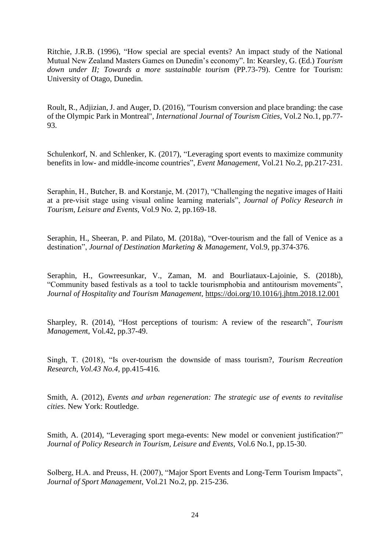Ritchie, J.R.B. (1996), "How special are special events? An impact study of the National Mutual New Zealand Masters Games on Dunedin's economy". In: Kearsley, G. (Ed.) *Tourism down under II; Towards a more sustainable tourism* (PP.73-79). Centre for Tourism: University of Otago, Dunedin.

Roult, R., Adjizian, J. and Auger, D. (2016), "Tourism conversion and place branding: the case of the Olympic Park in Montreal", *International Journal of Tourism Cities*, Vol.2 No.1, pp.77- 93.

Schulenkorf, N. and Schlenker, K. (2017), "Leveraging sport events to maximize community benefits in low- and middle-income countries", *Event Management*, Vol.21 No.2, pp.217-231.

Seraphin, H., Butcher, B. and Korstanje, M. (2017), "Challenging the negative images of Haiti at a pre-visit stage using visual online learning materials", *Journal of Policy Research in Tourism, Leisure and Events*, Vol.9 No. 2, pp.169-18.

Seraphin, H., Sheeran, P. and Pilato, M. (2018a), "Over-tourism and the fall of Venice as a destination", *Journal of Destination Marketing & Management*, Vol.9, pp.374-376.

Seraphin, H., Gowreesunkar, V., Zaman, M. and Bourliataux-Lajoinie, S. (2018b), "Community based festivals as a tool to tackle tourismphobia and antitourism movements", *Journal of Hospitality and Tourism Management,* <https://doi.org/10.1016/j.jhtm.2018.12.001>

Sharpley, R. (2014), "Host perceptions of tourism: A review of the research", *Tourism Managemen*t, Vol.42, pp.37-49.

Singh, T. (2018), "Is over-tourism the downside of mass tourism?, *Tourism Recreation Research, Vol.43 No.4,* pp.415-416*.*

Smith, A. (2012), *Events and urban regeneration: The strategic use of events to revitalise cities*. New York: Routledge.

Smith, A. (2014), "Leveraging sport mega-events: New model or convenient justification?" *Journal of Policy Research in Tourism, Leisure and Events*, Vol.6 No.1, pp.15-30.

Solberg, H.A. and Preuss, H. (2007), "Major Sport Events and Long-Term Tourism Impacts", *Journal of Sport Management*, Vol.21 No.2, pp. 215-236.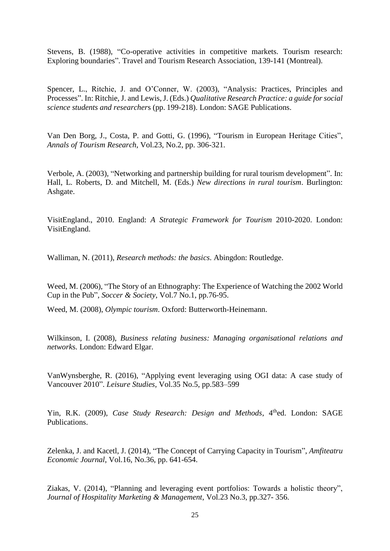Stevens, B. (1988), "Co-operative activities in competitive markets. Tourism research: Exploring boundaries". Travel and Tourism Research Association, 139-141 (Montreal).

Spencer, L., Ritchie, J. and O'Conner, W. (2003), "Analysis: Practices, Principles and Processes". In: Ritchie, J. and Lewis, J. (Eds.) *Qualitative Research Practice: a guide for social science students and researcher*s (pp. 199-218). London: SAGE Publications.

Van Den Borg, J., Costa, P. and Gotti, G. (1996), "Tourism in European Heritage Cities", *Annals of Tourism Research*, Vol.23, No.2, pp. 306-321.

Verbole, A. (2003), "Networking and partnership building for rural tourism development". In: Hall, L. Roberts, D. and Mitchell, M. (Eds.) *New directions in rural tourism*. Burlington: Ashgate.

VisitEngland., 2010. England: *A Strategic Framework for Tourism* 2010-2020. London: VisitEngland.

Walliman, N. (2011), *Research methods: the basics*. Abingdon: Routledge.

Weed, M. (2006), "The Story of an Ethnography: The Experience of Watching the 2002 World Cup in the Pub", *Soccer & Society*, Vol.7 No.1, pp.76-95.

Weed, M. (2008), *Olympic tourism*. Oxford: Butterworth-Heinemann.

Wilkinson, I. (2008), *Business relating business: Managing organisational relations and network*s. London: Edward Elgar.

VanWynsberghe, R. (2016), "Applying event leveraging using OGI data: A case study of Vancouver 2010". *Leisure Studies*, Vol.35 No.5, pp.583–599

Yin, R.K. (2009), *Case Study Research: Design and Methods*, 4<sup>th</sup>ed. London: SAGE Publications.

Zelenka, J. and Kacetl, J. (2014), "The Concept of Carrying Capacity in Tourism", *Amfiteatru Economic Journal*, Vol.16, No.36, pp. 641-654.

Ziakas, V. (2014), "Planning and leveraging event portfolios: Towards a holistic theory", *Journal of Hospitality Marketing & Management*, Vol.23 No.3, pp.327- 356.